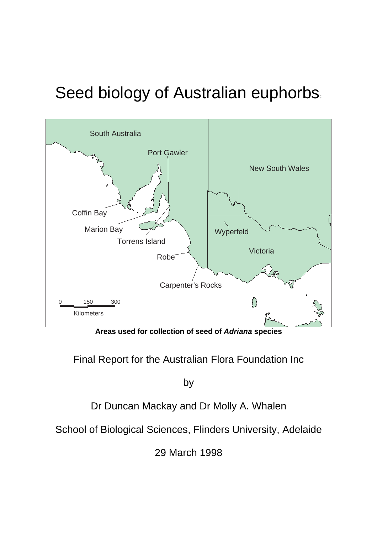# Seed biology of Australian euphorbs.



**Areas used for collection of seed of** *Adriana* **species** 

Final Report for the Australian Flora Foundation Inc

by

Dr Duncan Mackay and Dr Molly A. Whalen

School of Biological Sciences, Flinders University, Adelaide

29 March 1998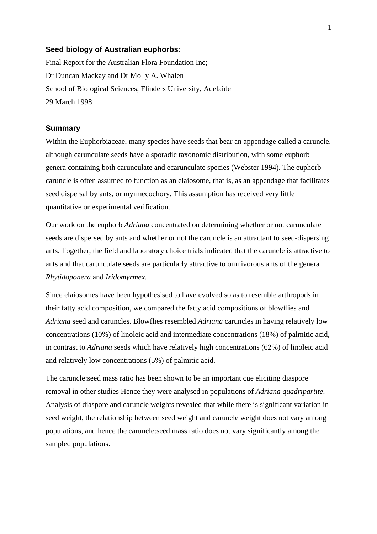## **Seed biology of Australian euphorbs**:

Final Report for the Australian Flora Foundation Inc; Dr Duncan Mackay and Dr Molly A. Whalen School of Biological Sciences, Flinders University, Adelaide 29 March 1998

## **Summary**

Within the Euphorbiaceae, many species have seeds that bear an appendage called a caruncle, although carunculate seeds have a sporadic taxonomic distribution, with some euphorb genera containing both carunculate and ecarunculate species (Webster 1994). The euphorb caruncle is often assumed to function as an elaiosome, that is, as an appendage that facilitates seed dispersal by ants, or myrmecochory. This assumption has received very little quantitative or experimental verification.

Our work on the euphorb *Adriana* concentrated on determining whether or not carunculate seeds are dispersed by ants and whether or not the caruncle is an attractant to seed-dispersing ants. Together, the field and laboratory choice trials indicated that the caruncle is attractive to ants and that carunculate seeds are particularly attractive to omnivorous ants of the genera *Rhytidoponera* and *Iridomyrmex*.

Since elaiosomes have been hypothesised to have evolved so as to resemble arthropods in their fatty acid composition, we compared the fatty acid compositions of blowflies and *Adriana* seed and caruncles. Blowflies resembled *Adriana* caruncles in having relatively low concentrations (10%) of linoleic acid and intermediate concentrations (18%) of palmitic acid, in contrast to *Adriana* seeds which have relatively high concentrations (62%) of linoleic acid and relatively low concentrations (5%) of palmitic acid.

The caruncle:seed mass ratio has been shown to be an important cue eliciting diaspore removal in other studies Hence they were analysed in populations of *Adriana quadripartite*. Analysis of diaspore and caruncle weights revealed that while there is significant variation in seed weight, the relationship between seed weight and caruncle weight does not vary among populations, and hence the caruncle:seed mass ratio does not vary significantly among the sampled populations.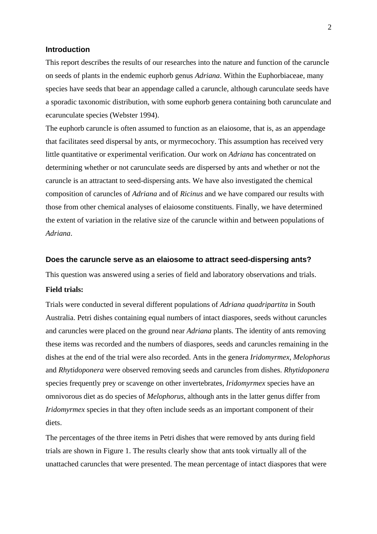# **Introduction**

This report describes the results of our researches into the nature and function of the caruncle on seeds of plants in the endemic euphorb genus *Adriana*. Within the Euphorbiaceae, many species have seeds that bear an appendage called a caruncle, although carunculate seeds have a sporadic taxonomic distribution, with some euphorb genera containing both carunculate and ecarunculate species (Webster 1994).

The euphorb caruncle is often assumed to function as an elaiosome, that is, as an appendage that facilitates seed dispersal by ants, or myrmecochory. This assumption has received very little quantitative or experimental verification. Our work on *Adriana* has concentrated on determining whether or not carunculate seeds are dispersed by ants and whether or not the caruncle is an attractant to seed-dispersing ants. We have also investigated the chemical composition of caruncles of *Adriana* and of *Ricinus* and we have compared our results with those from other chemical analyses of elaiosome constituents. Finally, we have determined the extent of variation in the relative size of the caruncle within and between populations of *Adriana*.

## **Does the caruncle serve as an elaiosome to attract seed-dispersing ants?**

This question was answered using a series of field and laboratory observations and trials.

# **Field trials:**

Trials were conducted in several different populations of *Adriana quadripartita* in South Australia. Petri dishes containing equal numbers of intact diaspores, seeds without caruncles and caruncles were placed on the ground near *Adriana* plants. The identity of ants removing these items was recorded and the numbers of diaspores, seeds and caruncles remaining in the dishes at the end of the trial were also recorded. Ants in the genera *Iridomyrmex, Melophorus*  and *Rhytidoponera* were observed removing seeds and caruncles from dishes. *Rhytidoponera* species frequently prey or scavenge on other invertebrates, *Iridomyrmex* species have an omnivorous diet as do species of *Melophorus*, although ants in the latter genus differ from *Iridomyrmex* species in that they often include seeds as an important component of their diets.

The percentages of the three items in Petri dishes that were removed by ants during field trials are shown in Figure 1. The results clearly show that ants took virtually all of the unattached caruncles that were presented. The mean percentage of intact diaspores that were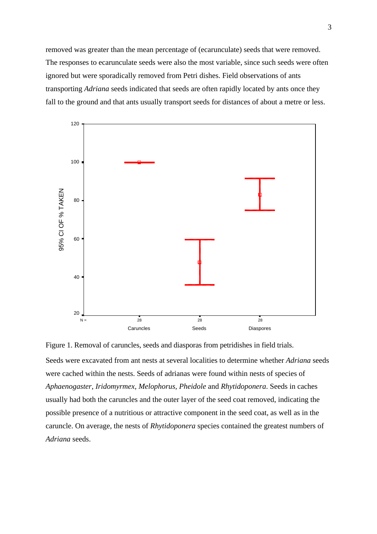removed was greater than the mean percentage of (ecarunculate) seeds that were removed. The responses to ecarunculate seeds were also the most variable, since such seeds were often ignored but were sporadically removed from Petri dishes. Field observations of ants transporting *Adriana* seeds indicated that seeds are often rapidly located by ants once they fall to the ground and that ants usually transport seeds for distances of about a metre or less.



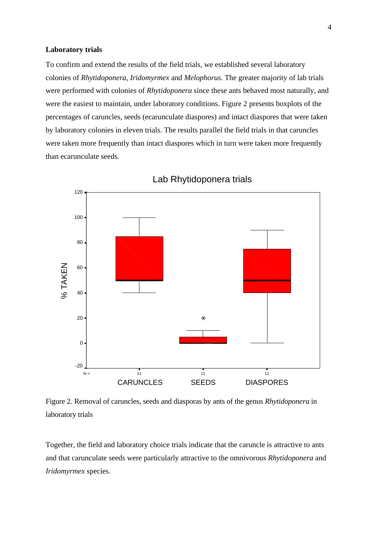## **Laboratory trials**

To confirm and extend the results of the field trials, we established several laboratory colonies of *Rhytidoponera*, *Iridomyrmex* and *Melophorus*. The greater majority of lab trials were performed with colonies of *Rhytidoponera* since these ants behaved most naturally, and were the easiest to maintain, under laboratory conditions. Figure 2 presents boxplots of the percentages of caruncles, seeds (ecarunculate diaspores) and intact diaspores that were taken by laboratory colonies in eleven trials. The results parallel the field trials in that caruncles were taken more frequently than intact diaspores which in turn were taken more frequently than ecarunculate seeds.



Lab Rhytidoponera trials

Figure 2. Removal of caruncles, seeds and diasporas by ants of the genus *Rhytidoponera* in laboratory trials

Together, the field and laboratory choice trials indicate that the caruncle is attractive to ants and that carunculate seeds were particularly attractive to the omnivorous *Rhytidoponera* and *Iridomyrmex* species.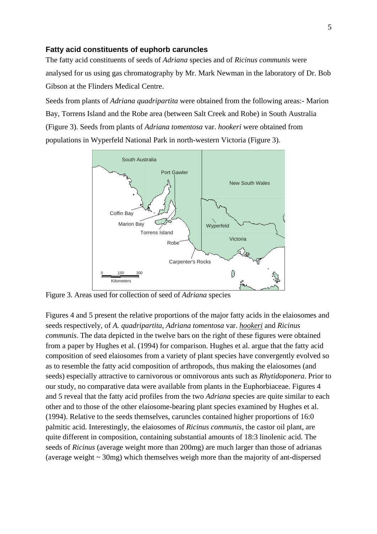## **Fatty acid constituents of euphorb caruncles**

The fatty acid constituents of seeds of *Adriana* species and of *Ricinus communis* were analysed for us using gas chromatography by Mr. Mark Newman in the laboratory of Dr. Bob Gibson at the Flinders Medical Centre.

Seeds from plants of *Adriana quadripartita* were obtained from the following areas:- Marion Bay, Torrens Island and the Robe area (between Salt Creek and Robe) in South Australia (Figure 3). Seeds from plants of *Adriana tomentosa* var. *hookeri* were obtained from populations in Wyperfeld National Park in north-western Victoria (Figure 3).



Figure 3. Areas used for collection of seed of *Adriana* species

Figures 4 and 5 present the relative proportions of the major fatty acids in the elaiosomes and seeds respectively, of *A. quadripartita*, *Adriana tomentosa* var. *hookeri* and *Ricinus communis*. The data depicted in the twelve bars on the right of these figures were obtained from a paper by Hughes et al. (1994) for comparison. Hughes et al. argue that the fatty acid composition of seed elaiosomes from a variety of plant species have convergently evolved so as to resemble the fatty acid composition of arthropods, thus making the elaiosomes (and seeds) especially attractive to carnivorous or omnivorous ants such as *Rhytidoponera*. Prior to our study, no comparative data were available from plants in the Euphorbiaceae. Figures 4 and 5 reveal that the fatty acid profiles from the two *Adriana* species are quite similar to each other and to those of the other elaiosome-bearing plant species examined by Hughes et al. (1994). Relative to the seeds themselves, caruncles contained higher proportions of 16:0 palmitic acid. Interestingly, the elaiosomes of *Ricinus communis*, the castor oil plant, are quite different in composition, containing substantial amounts of 18:3 linolenic acid. The seeds of *Ricinus* (average weight more than 200mg) are much larger than those of adrianas (average weight  $\sim$  30mg) which themselves weigh more than the majority of ant-dispersed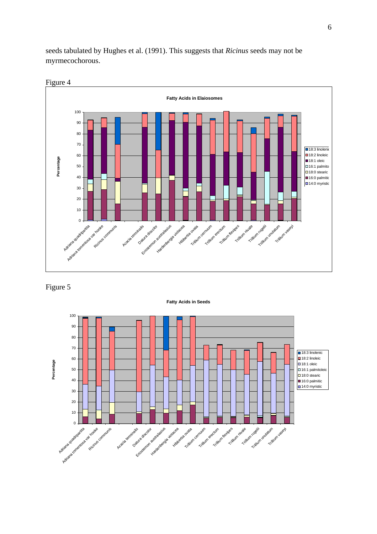seeds tabulated by Hughes et al. (1991). This suggests that *Ricinus* seeds may not be myrmecochorous.





Figure 5



6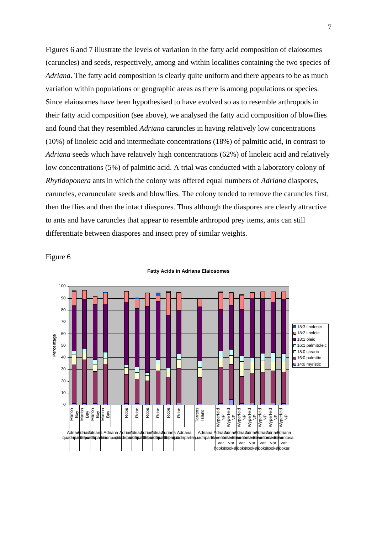Figures 6 and 7 illustrate the levels of variation in the fatty acid composition of elaiosomes (caruncles) and seeds, respectively, among and within localities containing the two species of *Adriana*. The fatty acid composition is clearly quite uniform and there appears to be as much variation within populations or geographic areas as there is among populations or species. Since elaiosomes have been hypothesised to have evolved so as to resemble arthropods in their fatty acid composition (see above), we analysed the fatty acid composition of blowflies and found that they resembled *Adriana* caruncles in having relatively low concentrations (10%) of linoleic acid and intermediate concentrations (18%) of palmitic acid, in contrast to *Adriana* seeds which have relatively high concentrations (62%) of linoleic acid and relatively low concentrations (5%) of palmitic acid. A trial was conducted with a laboratory colony of *Rhytidoponera* ants in which the colony was offered equal numbers of *Adriana* diaspores, caruncles, ecarunculate seeds and blowflies. The colony tended to remove the caruncles first, then the flies and then the intact diaspores. Thus although the diaspores are clearly attractive to ants and have caruncles that appear to resemble arthropod prey items, ants can still differentiate between diaspores and insect prey of similar weights.

Figure 6



#### **Fatty Acids in Adriana Elaiosomes**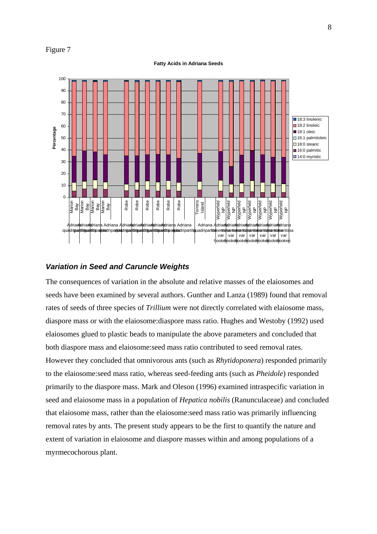## Figure 7

#### **Fatty Acids in Adriana Seeds**



## *Variation in Seed and Caruncle Weights*

The consequences of variation in the absolute and relative masses of the elaiosomes and seeds have been examined by several authors. Gunther and Lanza (1989) found that removal rates of seeds of three species of *Trillium* were not directly correlated with elaiosome mass, diaspore mass or with the elaiosome:diaspore mass ratio. Hughes and Westoby (1992) used elaiosomes glued to plastic beads to manipulate the above parameters and concluded that both diaspore mass and elaiosome:seed mass ratio contributed to seed removal rates. However they concluded that omnivorous ants (such as *Rhytidoponera*) responded primarily to the elaiosome:seed mass ratio, whereas seed-feeding ants (such as *Pheidole*) responded primarily to the diaspore mass. Mark and Oleson (1996) examined intraspecific variation in seed and elaiosome mass in a population of *Hepatica nobilis* (Ranunculaceae) and concluded that elaiosome mass, rather than the elaiosome:seed mass ratio was primarily influencing removal rates by ants. The present study appears to be the first to quantify the nature and extent of variation in elaiosome and diaspore masses within and among populations of a myrmecochorous plant.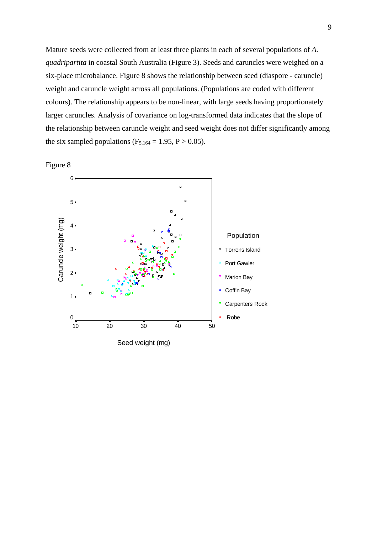Mature seeds were collected from at least three plants in each of several populations of *A. quadripartita* in coastal South Australia (Figure 3). Seeds and caruncles were weighed on a six-place microbalance. Figure 8 shows the relationship between seed (diaspore - caruncle) weight and caruncle weight across all populations. (Populations are coded with different colours). The relationship appears to be non-linear, with large seeds having proportionately larger caruncles. Analysis of covariance on log-transformed data indicates that the slope of the relationship between caruncle weight and seed weight does not differ significantly among the six sampled populations ( $F_{5,164} = 1.95$ ,  $P > 0.05$ ).



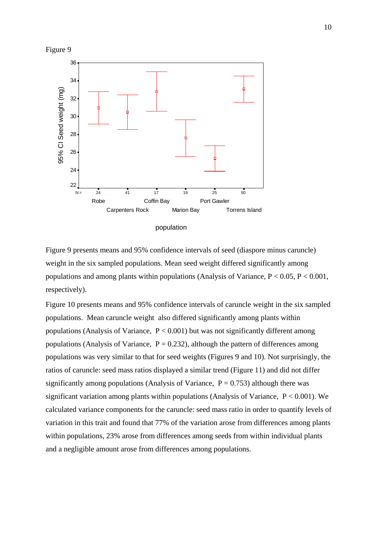



Figure 9 presents means and 95% confidence intervals of seed (diaspore minus caruncle) weight in the six sampled populations. Mean seed weight differed significantly among populations and among plants within populations (Analysis of Variance,  $P < 0.05$ ,  $P < 0.001$ , respectively).

Figure 10 presents means and 95% confidence intervals of caruncle weight in the six sampled populations. Mean caruncle weight also differed significantly among plants within populations (Analysis of Variance,  $P < 0.001$ ) but was not significantly different among populations (Analysis of Variance,  $P = 0.232$ ), although the pattern of differences among populations was very similar to that for seed weights (Figures 9 and 10). Not surprisingly, the ratios of caruncle: seed mass ratios displayed a similar trend (Figure 11) and did not differ significantly among populations (Analysis of Variance,  $P = 0.753$ ) although there was significant variation among plants within populations (Analysis of Variance,  $P < 0.001$ ). We calculated variance components for the caruncle: seed mass ratio in order to quantify levels of variation in this trait and found that 77% of the variation arose from differences among plants within populations, 23% arose from differences among seeds from within individual plants and a negligible amount arose from differences among populations.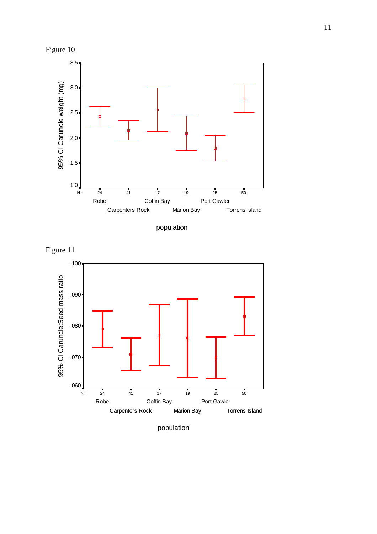





Figure 11



population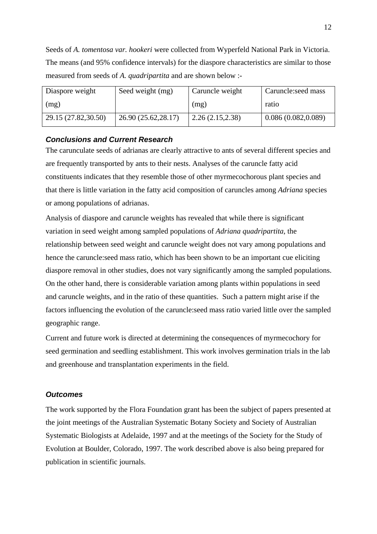Seeds of *A. tomentosa var. hookeri* were collected from Wyperfeld National Park in Victoria. The means (and 95% confidence intervals) for the diaspore characteristics are similar to those measured from seeds of *A. quadripartita* and are shown below :-

| Diaspore weight     | Seed weight (mg)     | Caruncle weight  | Caruncle: seed mass |
|---------------------|----------------------|------------------|---------------------|
| (mg)                |                      | (mg)             | ratio               |
| 29.15 (27.82,30.50) | 26.90 (25.62, 28.17) | 2.26(2.15, 2.38) | 0.086(0.082, 0.089) |

# *Conclusions and Current Research*

The carunculate seeds of adrianas are clearly attractive to ants of several different species and are frequently transported by ants to their nests. Analyses of the caruncle fatty acid constituents indicates that they resemble those of other myrmecochorous plant species and that there is little variation in the fatty acid composition of caruncles among *Adriana* species or among populations of adrianas.

Analysis of diaspore and caruncle weights has revealed that while there is significant variation in seed weight among sampled populations of *Adriana quadripartita*, the relationship between seed weight and caruncle weight does not vary among populations and hence the caruncle:seed mass ratio, which has been shown to be an important cue eliciting diaspore removal in other studies, does not vary significantly among the sampled populations. On the other hand, there is considerable variation among plants within populations in seed and caruncle weights, and in the ratio of these quantities. Such a pattern might arise if the factors influencing the evolution of the caruncle:seed mass ratio varied little over the sampled geographic range.

Current and future work is directed at determining the consequences of myrmecochory for seed germination and seedling establishment. This work involves germination trials in the lab and greenhouse and transplantation experiments in the field.

# *Outcomes*

The work supported by the Flora Foundation grant has been the subject of papers presented at the joint meetings of the Australian Systematic Botany Society and Society of Australian Systematic Biologists at Adelaide, 1997 and at the meetings of the Society for the Study of Evolution at Boulder, Colorado, 1997. The work described above is also being prepared for publication in scientific journals.